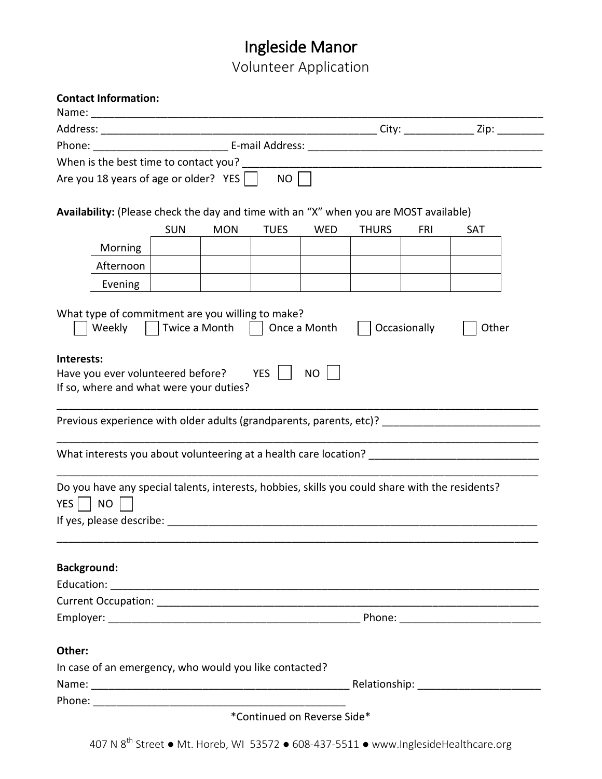# Ingleside Manor

Volunteer Application

| <b>Contact Information:</b>                                                                                                                                  |            |               |              |                             |              |              |            |
|--------------------------------------------------------------------------------------------------------------------------------------------------------------|------------|---------------|--------------|-----------------------------|--------------|--------------|------------|
|                                                                                                                                                              |            |               |              |                             |              |              |            |
|                                                                                                                                                              |            |               |              |                             |              |              |            |
| When is the best time to contact you?                                                                                                                        |            |               |              |                             |              |              |            |
| Are you 18 years of age or older? $YES$                                                                                                                      |            |               | NO           |                             |              |              |            |
|                                                                                                                                                              |            |               |              |                             |              |              |            |
| Availability: (Please check the day and time with an "X" when you are MOST available)                                                                        |            |               |              |                             |              |              |            |
|                                                                                                                                                              | <b>SUN</b> | <b>MON</b>    | <b>TUES</b>  | <b>WED</b>                  | <b>THURS</b> | <b>FRI</b>   | <b>SAT</b> |
| Morning                                                                                                                                                      |            |               |              |                             |              |              |            |
| Afternoon                                                                                                                                                    |            |               |              |                             |              |              |            |
| Evening                                                                                                                                                      |            |               |              |                             |              |              |            |
|                                                                                                                                                              |            |               |              |                             |              |              |            |
| What type of commitment are you willing to make?<br>Weekly                                                                                                   |            | Twice a Month | $\mathbf{L}$ | Once a Month                |              | Occasionally | Other      |
| Interests:                                                                                                                                                   |            |               |              |                             |              |              |            |
| Have you ever volunteered before? YES                                                                                                                        |            |               |              | <b>NO</b>                   |              |              |            |
| If so, where and what were your duties?                                                                                                                      |            |               |              |                             |              |              |            |
|                                                                                                                                                              |            |               |              |                             |              |              |            |
| Previous experience with older adults (grandparents, parents, etc)?                                                                                          |            |               |              |                             |              |              |            |
|                                                                                                                                                              |            |               |              |                             |              |              |            |
| What interests you about volunteering at a health care location? ___________________________________                                                         |            |               |              |                             |              |              |            |
| Do you have any special talents, interests, hobbies, skills you could share with the residents?<br>YES <sup>1</sup><br><b>NO</b><br>If yes, please describe: |            |               |              |                             |              |              |            |
| <b>Background:</b>                                                                                                                                           |            |               |              |                             |              |              |            |
|                                                                                                                                                              |            |               |              |                             |              |              |            |
|                                                                                                                                                              |            |               |              |                             |              |              |            |
|                                                                                                                                                              |            |               |              |                             |              |              |            |
|                                                                                                                                                              |            |               |              |                             |              |              |            |
| Other:                                                                                                                                                       |            |               |              |                             |              |              |            |
| In case of an emergency, who would you like contacted?                                                                                                       |            |               |              |                             |              |              |            |
|                                                                                                                                                              |            |               |              |                             |              |              |            |
|                                                                                                                                                              |            |               |              |                             |              |              |            |
|                                                                                                                                                              |            |               |              | *Continued on Reverse Side* |              |              |            |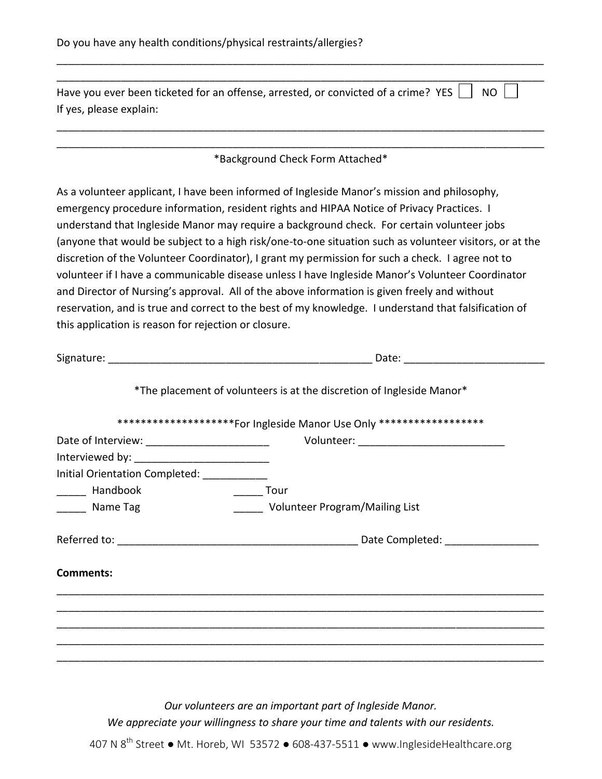| Have you ever been ticketed for an offense, arrested, or convicted of a crime? YES [<br><b>NO</b><br>If yes, please explain:                                                                                                   |                                                                                                                                                                                                                                                                                                                                                                                                                                                                                                                                                                                                           |  |  |
|--------------------------------------------------------------------------------------------------------------------------------------------------------------------------------------------------------------------------------|-----------------------------------------------------------------------------------------------------------------------------------------------------------------------------------------------------------------------------------------------------------------------------------------------------------------------------------------------------------------------------------------------------------------------------------------------------------------------------------------------------------------------------------------------------------------------------------------------------------|--|--|
|                                                                                                                                                                                                                                | *Background Check Form Attached*                                                                                                                                                                                                                                                                                                                                                                                                                                                                                                                                                                          |  |  |
|                                                                                                                                                                                                                                | As a volunteer applicant, I have been informed of Ingleside Manor's mission and philosophy,<br>emergency procedure information, resident rights and HIPAA Notice of Privacy Practices. I<br>understand that Ingleside Manor may require a background check. For certain volunteer jobs<br>(anyone that would be subject to a high risk/one-to-one situation such as volunteer visitors, or at the<br>discretion of the Volunteer Coordinator), I grant my permission for such a check. I agree not to<br>volunteer if I have a communicable disease unless I have Ingleside Manor's Volunteer Coordinator |  |  |
| this application is reason for rejection or closure.                                                                                                                                                                           | and Director of Nursing's approval. All of the above information is given freely and without<br>reservation, and is true and correct to the best of my knowledge. I understand that falsification of                                                                                                                                                                                                                                                                                                                                                                                                      |  |  |
|                                                                                                                                                                                                                                |                                                                                                                                                                                                                                                                                                                                                                                                                                                                                                                                                                                                           |  |  |
|                                                                                                                                                                                                                                | *The placement of volunteers is at the discretion of Ingleside Manor*                                                                                                                                                                                                                                                                                                                                                                                                                                                                                                                                     |  |  |
|                                                                                                                                                                                                                                | ********************For Ingleside Manor Use Only ******************                                                                                                                                                                                                                                                                                                                                                                                                                                                                                                                                       |  |  |
|                                                                                                                                                                                                                                |                                                                                                                                                                                                                                                                                                                                                                                                                                                                                                                                                                                                           |  |  |
| Interviewed by: The control of the control of the control of the control of the control of the control of the control of the control of the control of the control of the control of the control of the control of the control |                                                                                                                                                                                                                                                                                                                                                                                                                                                                                                                                                                                                           |  |  |
| Initial Orientation Completed: ________                                                                                                                                                                                        |                                                                                                                                                                                                                                                                                                                                                                                                                                                                                                                                                                                                           |  |  |
| Handbook                                                                                                                                                                                                                       | <b>Tour</b>                                                                                                                                                                                                                                                                                                                                                                                                                                                                                                                                                                                               |  |  |
| Name Tag                                                                                                                                                                                                                       | Volunteer Program/Mailing List                                                                                                                                                                                                                                                                                                                                                                                                                                                                                                                                                                            |  |  |

**Comments:**

*Our volunteers are an important part of Ingleside Manor. We appreciate your willingness to share your time and talents with our residents.*

\_\_\_\_\_\_\_\_\_\_\_\_\_\_\_\_\_\_\_\_\_\_\_\_\_\_\_\_\_\_\_\_\_\_\_\_\_\_\_\_\_\_\_\_\_\_\_\_\_\_\_\_\_\_\_\_\_\_\_\_\_\_\_\_\_\_\_\_\_\_\_\_\_\_\_\_\_\_\_\_\_\_\_ \_\_\_\_\_\_\_\_\_\_\_\_\_\_\_\_\_\_\_\_\_\_\_\_\_\_\_\_\_\_\_\_\_\_\_\_\_\_\_\_\_\_\_\_\_\_\_\_\_\_\_\_\_\_\_\_\_\_\_\_\_\_\_\_\_\_\_\_\_\_\_\_\_\_\_\_\_\_\_\_\_\_\_ \_\_\_\_\_\_\_\_\_\_\_\_\_\_\_\_\_\_\_\_\_\_\_\_\_\_\_\_\_\_\_\_\_\_\_\_\_\_\_\_\_\_\_\_\_\_\_\_\_\_\_\_\_\_\_\_\_\_\_\_\_\_\_\_\_\_\_\_\_\_\_\_\_\_\_\_\_\_\_\_\_\_\_ \_\_\_\_\_\_\_\_\_\_\_\_\_\_\_\_\_\_\_\_\_\_\_\_\_\_\_\_\_\_\_\_\_\_\_\_\_\_\_\_\_\_\_\_\_\_\_\_\_\_\_\_\_\_\_\_\_\_\_\_\_\_\_\_\_\_\_\_\_\_\_\_\_\_\_\_\_\_\_\_\_\_\_ \_\_\_\_\_\_\_\_\_\_\_\_\_\_\_\_\_\_\_\_\_\_\_\_\_\_\_\_\_\_\_\_\_\_\_\_\_\_\_\_\_\_\_\_\_\_\_\_\_\_\_\_\_\_\_\_\_\_\_\_\_\_\_\_\_\_\_\_\_\_\_\_\_\_\_\_\_\_\_\_\_\_\_

407 N  $8^{\text{th}}$  Street ● Mt. Horeb, WI 53572 ● 608-437-5511 ● www.InglesideHealthcare.org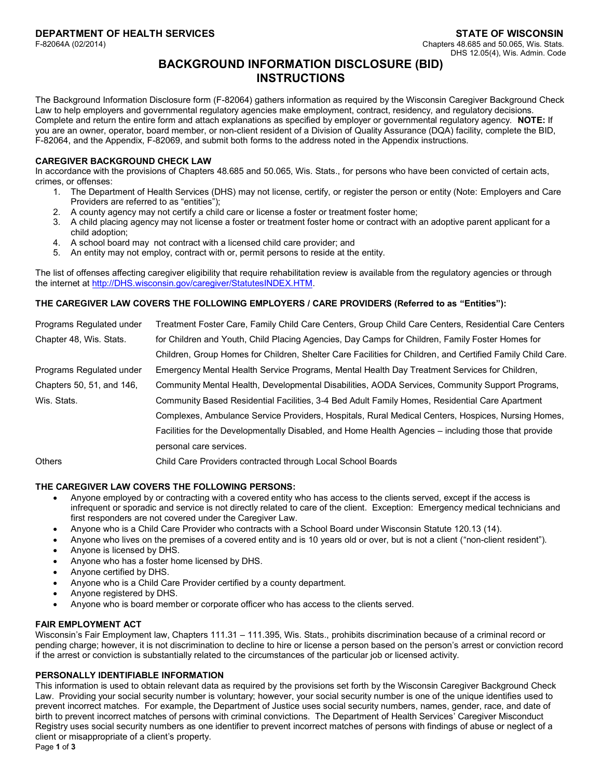## **BACKGROUND INFORMATION DISCLOSURE (BID) INSTRUCTIONS**

The Background Information Disclosure form (F-82064) gathers information as required by the Wisconsin Caregiver Background Check Law to help employers and governmental regulatory agencies make employment, contract, residency, and regulatory decisions. Complete and return the entire form and attach explanations as specified by employer or governmental regulatory agency. **NOTE:** If you are an owner, operator, board member, or non-client resident of a Division of Quality Assurance (DQA) facility, complete the BID, F-82064, and the Appendix, F-82069, and submit both forms to the address noted in the Appendix instructions.

#### **CAREGIVER BACKGROUND CHECK LAW**

In accordance with the provisions of Chapters 48.685 and 50.065, Wis. Stats., for persons who have been convicted of certain acts, crimes, or offenses:

- 1. The Department of Health Services (DHS) may not license, certify, or register the person or entity (Note: Employers and Care Providers are referred to as "entities");
- 2. A county agency may not certify a child care or license a foster or treatment foster home;
- 3. A child placing agency may not license a foster or treatment foster home or contract with an adoptive parent applicant for a child adoption;
- 4. A school board may not contract with a licensed child care provider; and
- 5. An entity may not employ, contract with or, permit persons to reside at the entity.

The list of offenses affecting caregiver eligibility that require rehabilitation review is available from the regulatory agencies or through the internet at http://DHS.wisconsin.gov/caregiver/StatutesINDEX.HTM.

## **THE CAREGIVER LAW COVERS THE FOLLOWING EMPLOYERS / CARE PROVIDERS (Referred to as "Entities"):**

| Programs Regulated under  | Treatment Foster Care, Family Child Care Centers, Group Child Care Centers, Residential Care Centers       |
|---------------------------|------------------------------------------------------------------------------------------------------------|
| Chapter 48, Wis. Stats.   | for Children and Youth, Child Placing Agencies, Day Camps for Children, Family Foster Homes for            |
|                           | Children, Group Homes for Children, Shelter Care Facilities for Children, and Certified Family Child Care. |
| Programs Regulated under  | Emergency Mental Health Service Programs, Mental Health Day Treatment Services for Children,               |
| Chapters 50, 51, and 146, | Community Mental Health, Developmental Disabilities, AODA Services, Community Support Programs,            |
| Wis. Stats.               | Community Based Residential Facilities, 3-4 Bed Adult Family Homes, Residential Care Apartment             |
|                           | Complexes, Ambulance Service Providers, Hospitals, Rural Medical Centers, Hospices, Nursing Homes,         |
|                           | Facilities for the Developmentally Disabled, and Home Health Agencies – including those that provide       |
|                           | personal care services.                                                                                    |
| [                         | Child Care Providers contracted through Local School Boards                                                |

Others Child Care Providers contracted through Local School Boards

## **THE CAREGIVER LAW COVERS THE FOLLOWING PERSONS:**

- Anyone employed by or contracting with a covered entity who has access to the clients served, except if the access is infrequent or sporadic and service is not directly related to care of the client. Exception: Emergency medical technicians and first responders are not covered under the Caregiver Law.
- Anyone who is a Child Care Provider who contracts with a School Board under Wisconsin Statute 120.13 (14).
- Anyone who lives on the premises of a covered entity and is 10 years old or over, but is not a client ("non-client resident").
- Anyone is licensed by DHS.
- Anyone who has a foster home licensed by DHS.
- Anyone certified by DHS.
- Anyone who is a Child Care Provider certified by a county department.
- Anyone registered by DHS.
- Anyone who is board member or corporate officer who has access to the clients served.

## **FAIR EMPLOYMENT ACT**

Wisconsin's Fair Employment law, Chapters 111.31 – 111.395, Wis. Stats., prohibits discrimination because of a criminal record or pending charge; however, it is not discrimination to decline to hire or license a person based on the person's arrest or conviction record if the arrest or conviction is substantially related to the circumstances of the particular job or licensed activity.

## **PERSONALLY IDENTIFIABLE INFORMATION**

This information is used to obtain relevant data as required by the provisions set forth by the Wisconsin Caregiver Background Check Law. Providing your social security number is voluntary; however, your social security number is one of the unique identifies used to prevent incorrect matches. For example, the Department of Justice uses social security numbers, names, gender, race, and date of birth to prevent incorrect matches of persons with criminal convictions. The Department of Health Services' Caregiver Misconduct Registry uses social security numbers as one identifier to prevent incorrect matches of persons with findings of abuse or neglect of a client or misappropriate of a client's property.

Page **1** of **3**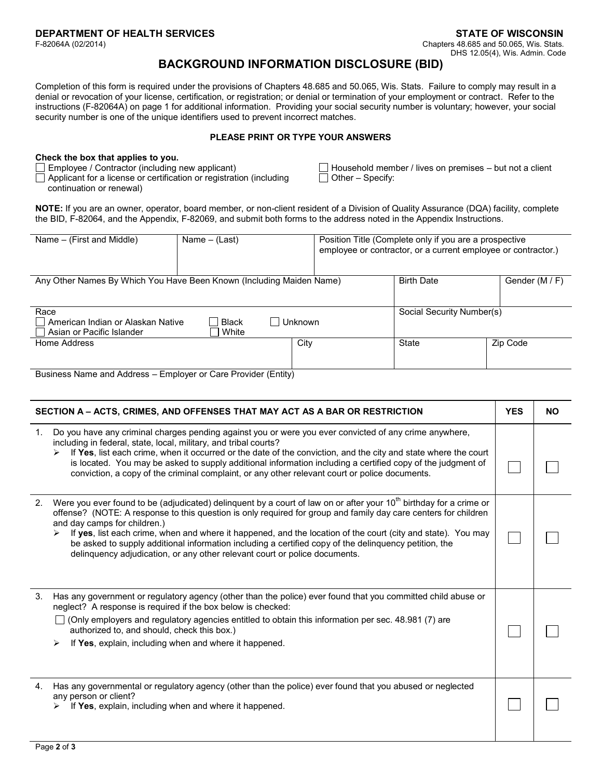# **BACKGROUND INFORMATION DISCLOSURE (BID)**

Completion of this form is required under the provisions of Chapters 48.685 and 50.065, Wis. Stats. Failure to comply may result in a denial or revocation of your license, certification, or registration; or denial or termination of your employment or contract. Refer to the instructions (F-82064A) on page 1 for additional information. Providing your social security number is voluntary; however, your social security number is one of the unique identifiers used to prevent incorrect matches.

#### **PLEASE PRINT OR TYPE YOUR ANSWERS**

#### **Check the box that applies to you.**

 $\Box$  Applicant for a license or certification or registration (including continuation or renewal)

□ Employee / Contractor (including new applicant) □ Household member / lives on premises – but not a client<br>□ Applicant for a license or certification or registration (including □ Other – Specify:

**NOTE:** If you are an owner, operator, board member, or non-client resident of a Division of Quality Assurance (DQA) facility, complete the BID, F-82064, and the Appendix, F-82069, and submit both forms to the address noted in the Appendix Instructions.

| Name – (First and Middle)                                              | Name $-$ (Last)       |                | Position Title (Complete only if you are a prospective<br>employee or contractor, or a current employee or contractor.) |                |
|------------------------------------------------------------------------|-----------------------|----------------|-------------------------------------------------------------------------------------------------------------------------|----------------|
| Any Other Names By Which You Have Been Known (Including Maiden Name)   |                       |                | <b>Birth Date</b>                                                                                                       | Gender (M / F) |
| Race<br>American Indian or Alaskan Native<br>Asian or Pacific Islander | <b>Black</b><br>White | <b>Unknown</b> | Social Security Number(s)                                                                                               |                |
| Home Address                                                           |                       | City           | State                                                                                                                   | Zip Code       |
| Business Name and Address – Employer or Care Provider (Entity)         |                       |                |                                                                                                                         |                |

| SECTION A - ACTS, CRIMES, AND OFFENSES THAT MAY ACT AS A BAR OR RESTRICTION |                                                                                                                                                                                                                                                                                                                                                                                                                                                                                                                                                                                               |  | <b>NO</b> |
|-----------------------------------------------------------------------------|-----------------------------------------------------------------------------------------------------------------------------------------------------------------------------------------------------------------------------------------------------------------------------------------------------------------------------------------------------------------------------------------------------------------------------------------------------------------------------------------------------------------------------------------------------------------------------------------------|--|-----------|
| 1.                                                                          | Do you have any criminal charges pending against you or were you ever convicted of any crime anywhere,<br>including in federal, state, local, military, and tribal courts?<br>If Yes, list each crime, when it occurred or the date of the conviction, and the city and state where the court<br>is located. You may be asked to supply additional information including a certified copy of the judgment of<br>conviction, a copy of the criminal complaint, or any other relevant court or police documents.                                                                                |  |           |
| 2.                                                                          | Were you ever found to be (adjudicated) delinguent by a court of law on or after your 10 <sup>th</sup> birthday for a crime or<br>offense? (NOTE: A response to this question is only required for group and family day care centers for children<br>and day camps for children.)<br>If yes, list each crime, when and where it happened, and the location of the court (city and state). You may<br>➤<br>be asked to supply additional information including a certified copy of the delinquency petition, the<br>delinguency adjudication, or any other relevant court or police documents. |  |           |
| 3.                                                                          | Has any government or regulatory agency (other than the police) ever found that you committed child abuse or<br>neglect? A response is required if the box below is checked:<br>(Only employers and regulatory agencies entitled to obtain this information per sec. 48.981 (7) are<br>authorized to, and should, check this box.)<br>If Yes, explain, including when and where it happened.<br>➤                                                                                                                                                                                             |  |           |
| 4.                                                                          | Has any governmental or regulatory agency (other than the police) ever found that you abused or neglected<br>any person or client?<br>If Yes, explain, including when and where it happened.                                                                                                                                                                                                                                                                                                                                                                                                  |  |           |